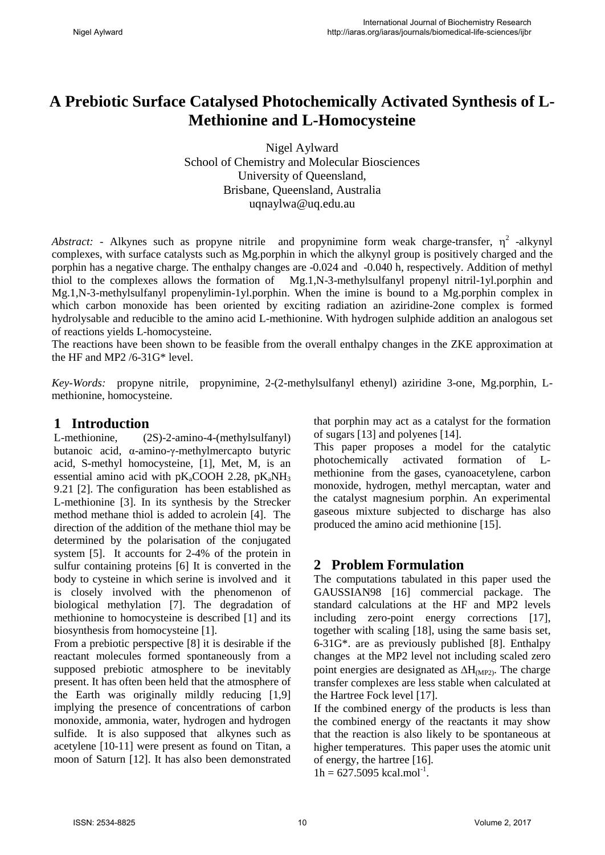# **A Prebiotic Surface Catalysed Photochemically Activated Synthesis of L-Methionine and L-Homocysteine**

Nigel Aylward School of Chemistry and Molecular Biosciences University of Queensland, Brisbane, Queensland, Australia uqnaylwa@uq.edu.au

*Abstract:* - Alkynes such as propyne nitrile and propynimine form weak charge-transfer,  $\eta^2$  -alkynyl complexes, with surface catalysts such as Mg.porphin in which the alkynyl group is positively charged and the porphin has a negative charge. The enthalpy changes are -0.024 and -0.040 h, respectively. Addition of methyl thiol to the complexes allows the formation of Mg.1,N-3-methylsulfanyl propenyl nitril-1yl.porphin and Mg.1,N-3-methylsulfanyl propenylimin-1yl.porphin. When the imine is bound to a Mg.porphin complex in which carbon monoxide has been oriented by exciting radiation an aziridine-2one complex is formed hydrolysable and reducible to the amino acid L-methionine. With hydrogen sulphide addition an analogous set of reactions yields L-homocysteine.

The reactions have been shown to be feasible from the overall enthalpy changes in the ZKE approximation at the HF and MP2 /6-31G\* level.

*Key-Words:* propyne nitrile, propynimine, 2-(2-methylsulfanyl ethenyl) aziridine 3-one, Mg.porphin, Lmethionine, homocysteine.

# **1 Introduction**

L-methionine, (2S)-2-amino-4-(methylsulfanyl) butanoic acid, α-amino-γ-methylmercapto butyric acid, S-methyl homocysteine, [1], Met, M, is an essential amino acid with  $pK_aCOOH$  2.28,  $pK_aNH_3$ 9.21 [2]. The configuration has been established as L-methionine [3]. In its synthesis by the Strecker method methane thiol is added to acrolein [4]. The direction of the addition of the methane thiol may be determined by the polarisation of the conjugated system [5]. It accounts for 2-4% of the protein in sulfur containing proteins [6] It is converted in the body to cysteine in which serine is involved and it is closely involved with the phenomenon of biological methylation [7]. The degradation of methionine to homocysteine is described [1] and its biosynthesis from homocysteine [1].

From a prebiotic perspective [8] it is desirable if the reactant molecules formed spontaneously from a supposed prebiotic atmosphere to be inevitably present. It has often been held that the atmosphere of the Earth was originally mildly reducing [1,9] implying the presence of concentrations of carbon monoxide, ammonia, water, hydrogen and hydrogen sulfide. It is also supposed that alkynes such as acetylene [10-11] were present as found on Titan, a moon of Saturn [12]. It has also been demonstrated

that porphin may act as a catalyst for the formation of sugars [13] and polyenes [14].

This paper proposes a model for the catalytic photochemically activated formation of Lmethionine from the gases, cyanoacetylene, carbon monoxide, hydrogen, methyl mercaptan, water and the catalyst magnesium porphin. An experimental gaseous mixture subjected to discharge has also produced the amino acid methionine [15].

# **2 Problem Formulation**

The computations tabulated in this paper used the GAUSSIAN98 [16] commercial package. The standard calculations at the HF and MP2 levels including zero-point energy corrections [17], together with scaling [18], using the same basis set, 6-31G\*. are as previously published [8]. Enthalpy changes at the MP2 level not including scaled zero point energies are designated as  $\Delta H_{(MP2)}$ . The charge transfer complexes are less stable when calculated at the Hartree Fock level [17].

If the combined energy of the products is less than the combined energy of the reactants it may show that the reaction is also likely to be spontaneous at higher temperatures. This paper uses the atomic unit of energy, the hartree [16].

 $1h = 627.5095$  kcal.mol<sup>-1</sup>.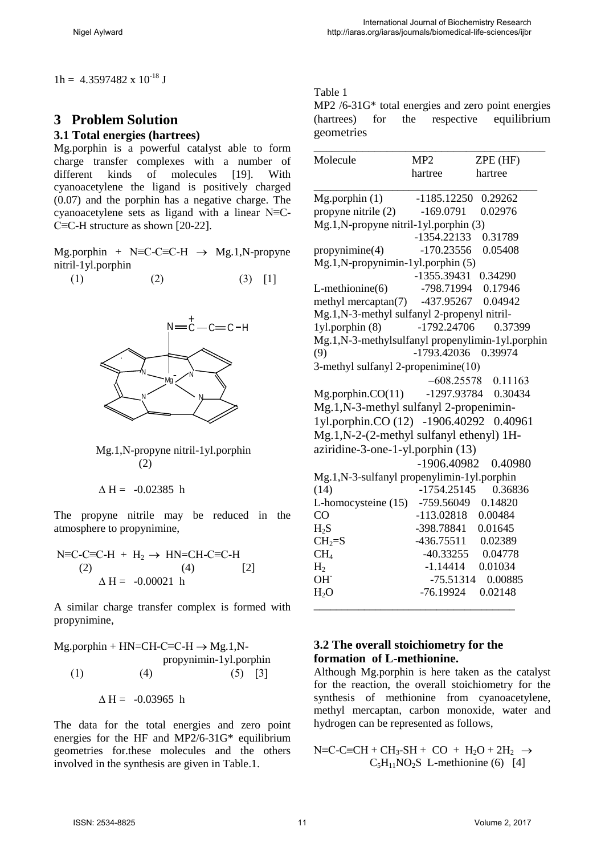$1h = 4.3597482 \times 10^{-18}$  J

# **3 Problem Solution**

#### **3.1 Total energies (hartrees)**

Mg.porphin is a powerful catalyst able to form charge transfer complexes with a number of different kinds of molecules [19]. With cyanoacetylene the ligand is positively charged (0.07) and the porphin has a negative charge. The cyanoacetylene sets as ligand with a linear N≡C-C≡C-H structure as shown [20-22].

Mg.porphin + N≡C-C≡C-H  $\rightarrow$  Mg.1,N-propyne nitril-1yl.porphin

$$
(1) \qquad \qquad (2) \qquad \qquad (3) \quad [1]
$$



 Mg.1,N-propyne nitril-1yl.porphin (2)

 $\triangle H = -0.02385$  h

The propyne nitrile may be reduced in the atmosphere to propynimine,

$$
N=C-C=C-H + H2 \rightarrow HN=CH-C=C-H
$$
  
(2)  

$$
\Delta H = -0.00021 h
$$
 [2]

A similar charge transfer complex is formed with propynimine,

 $Mg.$ porphin + HN=CH-C≡C-H  $\rightarrow$  Mg.1,N propynimin-1yl.porphin (1)  $(4)$   $(5)$  [3]  $\Delta H = -0.03965$  h

The data for the total energies and zero point energies for the HF and MP2/6-31G\* equilibrium geometries for.these molecules and the others involved in the synthesis are given in Table.1.

#### Table 1

MP2 /6-31G\* total energies and zero point energies (hartrees) for the respective equilibrium geometries

|                                                  |               | ZPE (HF)             |
|--------------------------------------------------|---------------|----------------------|
|                                                  | hartree       | hartree              |
| $Mg$ .porphin $(1)$                              | $-1185.12250$ | 0.29262              |
| propyne nitrile $(2)$ -169.0791                  |               | 0.02976              |
| Mg.1,N-propyne nitril-1yl.porphin (3)            |               |                      |
|                                                  | $-1354.22133$ | 0.31789              |
| propynimine(4)                                   | $-170.23556$  | 0.05408              |
| Mg.1,N-propynimin-1yl.porphin (5)                |               |                      |
|                                                  |               | -1355.39431 0.34290  |
| L-methionine(6)                                  |               | -798.71994 0.17946   |
| methyl mercaptan(7) -437.95267 0.04942           |               |                      |
| Mg.1,N-3-methyl sulfanyl 2-propenyl nitril-      |               |                      |
| $1$ yl.porphin $(8)$                             | -1792.24706   | 0.37399              |
| Mg.1,N-3-methylsulfanyl propenylimin-1yl.porphin |               |                      |
| (9)                                              |               | -1793.42036 0.39974  |
| 3-methyl sulfanyl 2-propenimine(10)              |               |                      |
|                                                  |               | $-608.25578$ 0.11163 |
| $Mg$ .porphin. $CO(11)$                          |               | -1297.93784 0.30434  |
| Mg.1,N-3-methyl sulfanyl 2-propenimin-           |               |                      |
| 1yl.porphin.CO (12) -1906.40292                  |               | 0.40961              |
| Mg.1,N-2-(2-methyl sulfanyl ethenyl) 1H-         |               |                      |
| aziridine-3-one-1-yl.porphin (13)                |               |                      |
|                                                  | -1906.40982   | 0.40980              |
| Mg.1,N-3-sulfanyl propenylimin-1yl.porphin       |               |                      |
| (14)                                             | $-1754.25145$ | 0.36836              |
| L-homocysteine (15) -759.56049 0.14820           |               |                      |
| CO                                               |               | -113.02818  0.00484  |
| $H_2S$                                           |               | -398.78841 0.01645   |
| $CH2=S$                                          |               | -436.75511 0.02389   |
| CH <sub>4</sub>                                  |               | -40.33255 0.04778    |
| H <sub>2</sub>                                   |               | $-1.14414$ 0.01034   |
| OH <sup>-</sup>                                  | -75.51314     | 0.00885              |
| H <sub>2</sub> O                                 | -76.19924     | 0.02148              |

# **3.2 The overall stoichiometry for the formation of L-methionine.**

Although Mg.porphin is here taken as the catalyst for the reaction, the overall stoichiometry for the synthesis of methionine from cyanoacetylene, methyl mercaptan, carbon monoxide, water and hydrogen can be represented as follows,

 $N \equiv C - C \equiv CH + CH_3 - SH + CO + H_2O + 2H_2 \rightarrow$  $C_5H_{11}NO_2S$  L-methionine (6) [4]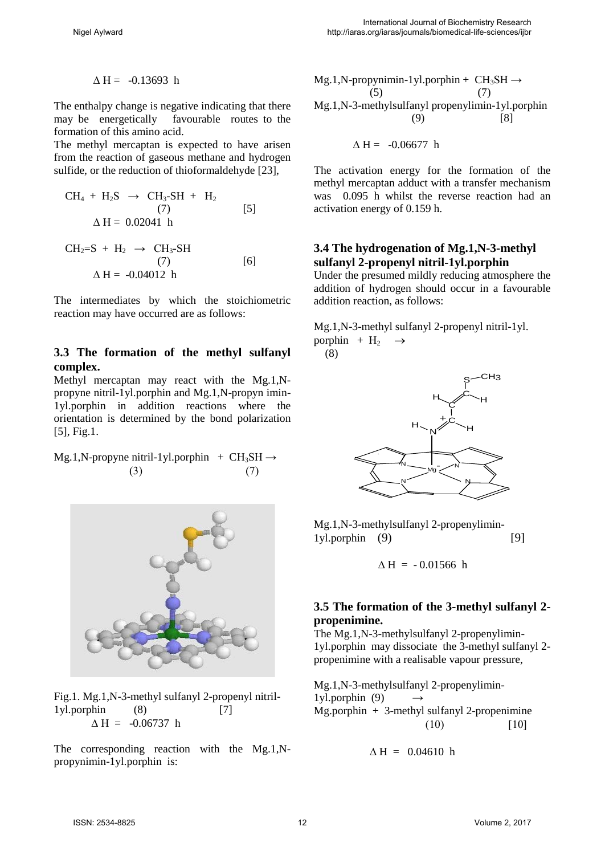$\triangle H = -0.13693$  h

The enthalpy change is negative indicating that there<br>may be energetically favourable routes to the favourable routes to the formation of this amino acid.

The methyl mercaptan is expected to have arisen from the reaction of gaseous methane and hydrogen sulfide, or the reduction of thioformaldehyde [23],

$$
CH4 + H2S \rightarrow CH3-SH + H2
$$
  
(7) [5]  

$$
\Delta H = 0.02041 \text{ h}
$$
  

$$
CH2=S + H2 \rightarrow CH3-SH
$$
  
(7) [6]  

$$
\Delta H = -0.04012 \text{ h}
$$

The intermediates by which the stoichiometric reaction may have occurred are as follows:

#### **3.3 The formation of the methyl sulfanyl complex.**

Methyl mercaptan may react with the Mg.1,Npropyne nitril-1yl.porphin and Mg.1,N-propyn imin-1yl.porphin in addition reactions where the orientation is determined by the bond polarization [5], Fig.1.

Mg.1,N-propyne nitril-1yl.porphin +  $CH_3SH \rightarrow$ (3)  $(7)$ 



Fig.1. Mg.1,N-3-methyl sulfanyl 2-propenyl nitril- $1$ yl.porphin  $(8)$  [7]  $\Delta H = -0.06737$  h

The corresponding reaction with the Mg.1,Npropynimin-1yl.porphin is:

$$
Mg.1,N-propynimin-1yl.porphism + CH3SH \rightarrow
$$
  
(5) (7)  

$$
Mg.1,N-3-methylsulfanyl propenylimin-1yl.porphism
$$
  
(9) [8]

$$
\Delta H = -0.06677 \text{ h}
$$

The activation energy for the formation of the methyl mercaptan adduct with a transfer mechanism was 0.095 h whilst the reverse reaction had an activation energy of 0.159 h.

#### **3.4 The hydrogenation of Mg.1,N-3-methyl sulfanyl 2-propenyl nitril-1yl.porphin**

Under the presumed mildly reducing atmosphere the addition of hydrogen should occur in a favourable addition reaction, as follows:

Mg.1,N-3-methyl sulfanyl 2-propenyl nitril-1yl. porphin +  $H_2 \rightarrow$ (8)



Mg.1,N-3-methylsulfanyl 2-propenylimin- $1$ yl.porphin  $(9)$  [9]

$$
\Delta H = -0.01566 \text{ h}
$$

### **3.5 The formation of the 3-methyl sulfanyl 2 propenimine.**

The Mg.1,N-3-methylsulfanyl 2-propenylimin-1yl.porphin may dissociate the 3-methyl sulfanyl 2 propenimine with a realisable vapour pressure,

Mg.1,N-3-methylsulfanyl 2-propenylimin- $1$ yl.porphin  $(9)$ Mg.porphin + 3-methyl sulfanyl 2-propenimine  $(10)$  [10]

$$
\Delta H = 0.04610 h
$$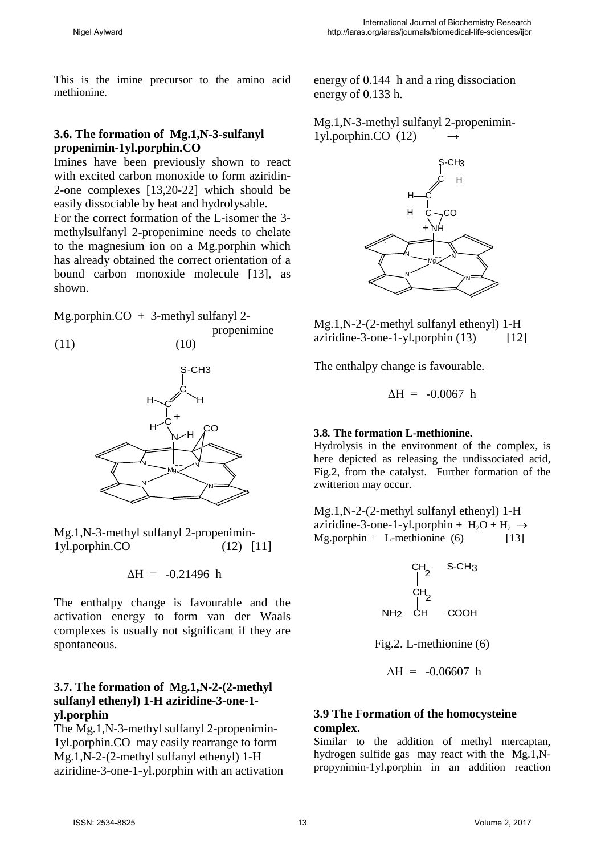This is the imine precursor to the amino acid methionine.

### **3.6. The formation of Mg.1,N-3-sulfanyl propenimin-1yl.porphin.CO**

Imines have been previously shown to react with excited carbon monoxide to form aziridin-2-one complexes [13,20-22] which should be easily dissociable by heat and hydrolysable.

For the correct formation of the L-isomer the 3 methylsulfanyl 2-propenimine needs to chelate to the magnesium ion on a Mg.porphin which has already obtained the correct orientation of a bound carbon monoxide molecule [13], as shown.

propenimine

Mg.porphin. $CO + 3$ -methyl sulfanyl 2-

$$
(11) \t(10)
$$



Mg.1,N-3-methyl sulfanyl 2-propenimin-1yl.porphin.CO (12) [11]

$$
\Delta H = -0.21496 \text{ h}
$$

The enthalpy change is favourable and the activation energy to form van der Waals complexes is usually not significant if they are spontaneous.

### **3.7. The formation of Mg.1,N-2-(2-methyl sulfanyl ethenyl) 1-H aziridine-3-one-1 yl.porphin**

The Mg.1,N-3-methyl sulfanyl 2-propenimin-1yl.porphin.CO may easily rearrange to form Mg.1,N-2-(2-methyl sulfanyl ethenyl) 1-H aziridine-3-one-1-yl.porphin with an activation energy of 0.144 h and a ring dissociation energy of 0.133 h.

Mg.1,N-3-methyl sulfanyl 2-propenimin-1yl.porphin.CO (12) →



Mg.1,N-2-(2-methyl sulfanyl ethenyl) 1-H aziridine-3-one-1-yl.porphin  $(13)$  [12]

The enthalpy change is favourable.

 $\Delta H = -0.0067$  h

#### **3.8***.* **The formation L-methionine.**

Hydrolysis in the environment of the complex, is here depicted as releasing the undissociated acid, Fig.2, from the catalyst. Further formation of the zwitterion may occur.

Mg.1,N-2-(2-methyl sulfanyl ethenyl) 1-H aziridine-3-one-1-yl.porphin +  $H_2O + H_2 \rightarrow$  $Mg.porphin + L-methionine (6)$  [13]



Fig.2. L-methionine (6)

 $\Delta H = -0.06607$  h

### **3.9 The Formation of the homocysteine complex.**

Similar to the addition of methyl mercaptan, hydrogen sulfide gas may react with the Mg.1,Npropynimin-1yl.porphin in an addition reaction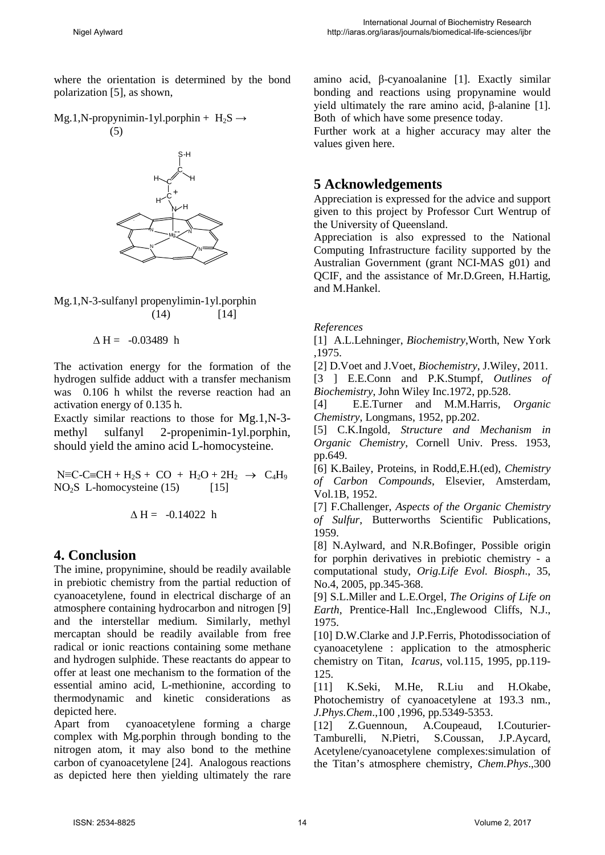where the orientation is determined by the bond polarization [5], as shown,

 $Mg.1,N$ -propynimin-1yl.porphin +  $H_2S \rightarrow$ (5)



Mg.1,N-3-sulfanyl propenylimin-1yl.porphin  $(14)$  [14]

 $\triangle H = -0.03489$  h

The activation energy for the formation of the hydrogen sulfide adduct with a transfer mechanism was 0.106 h whilst the reverse reaction had an activation energy of 0.135 h.

Exactly similar reactions to those for Mg.1,N-3 methyl sulfanyl 2-propenimin-1yl.porphin, should yield the amino acid L-homocysteine.

 $N \equiv C - C \equiv CH + H_2S + CO + H_2O + 2H_2 \rightarrow C_4H_9$  $NO<sub>2</sub>S$  L-homocysteine (15) [15]

$$
\Delta H = -0.14022 \ h
$$

# **4. Conclusion**

The imine, propynimine, should be readily available in prebiotic chemistry from the partial reduction of cyanoacetylene, found in electrical discharge of an atmosphere containing hydrocarbon and nitrogen [9] and the interstellar medium. Similarly, methyl mercaptan should be readily available from free radical or ionic reactions containing some methane and hydrogen sulphide. These reactants do appear to offer at least one mechanism to the formation of the essential amino acid, L-methionine, according to thermodynamic and kinetic considerations as depicted here.

Apart from cyanoacetylene forming a charge complex with Mg.porphin through bonding to the nitrogen atom, it may also bond to the methine carbon of cyanoacetylene [24]. Analogous reactions as depicted here then yielding ultimately the rare amino acid, β-cyanoalanine [1]. Exactly similar bonding and reactions using propynamine would yield ultimately the rare amino acid, β-alanine [1]. Both of which have some presence today.

Further work at a higher accuracy may alter the values given here.

# **5 Acknowledgements**

Appreciation is expressed for the advice and support given to this project by Professor Curt Wentrup of the University of Queensland.

Appreciation is also expressed to the National Computing Infrastructure facility supported by the Australian Government (grant NCI-MAS g01) and QCIF, and the assistance of Mr.D.Green, H.Hartig, and M.Hankel.

*References* 

[1] A.L.Lehninger, *Biochemistry*,Worth, New York ,1975.

[2] D.Voet and J.Voet, *Biochemistry*, J.Wiley, 2011.

[3 ] E.E.Conn and P.K.Stumpf, *Outlines of Biochemistry*, John Wiley Inc.1972, pp.528.

[4] E.E.Turner and M.M.Harris*, Organic Chemistry*, Longmans, 1952, pp.202.

[5] C.K.Ingold, *Structure and Mechanism in Organic Chemistry*, Cornell Univ. Press. 1953, pp.649.

[6] K.Bailey, Proteins, in Rodd,E.H.(ed), *Chemistry of Carbon Compounds*, Elsevier, Amsterdam, Vol.1B, 1952.

[7] F.Challenger, *Aspects of the Organic Chemistry of Sulfur*, Butterworths Scientific Publications, 1959.

[8] N.Aylward, and N.R.Bofinger, Possible origin for porphin derivatives in prebiotic chemistry - a computational study, *Orig.Life Evol. Biosph*., 35, No.4, 2005, pp.345-368.

[9] S.L.Miller and L.E.Orgel, *The Origins of Life on Earth*, Prentice-Hall Inc.,Englewood Cliffs, N.J., 1975.

[10] D.W.Clarke and J.P.Ferris, Photodissociation of cyanoacetylene : application to the atmospheric chemistry on Titan, *Icarus*, vol.115, 1995, pp.119- 125.

[11] K.Seki, M.He, R.Liu and H.Okabe, Photochemistry of cyanoacetylene at 193.3 nm., *J.Phys.Chem*.,100 ,1996, pp.5349-5353.

[12] Z.Guennoun, A.Coupeaud, I.Couturier-Tamburelli, N.Pietri, S.Coussan, J.P.Aycard, Acetylene/cyanoacetylene complexes:simulation of the Titan's atmosphere chemistry, *Chem.Phys*.,300